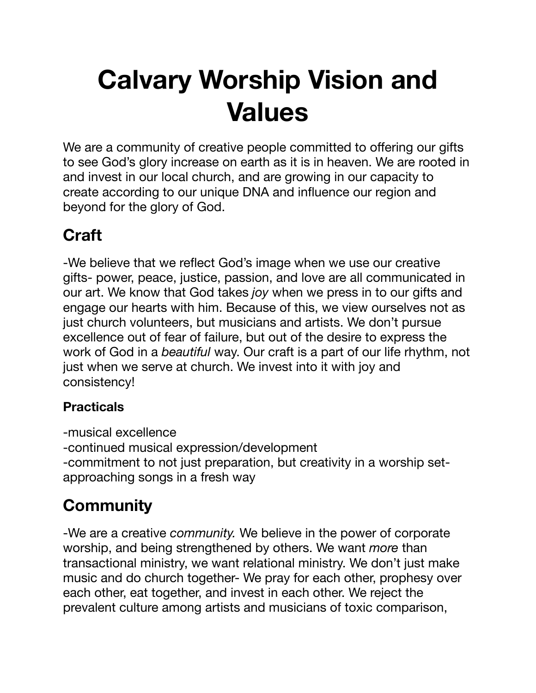# **Calvary Worship Vision and Values**

We are a community of creative people committed to offering our gifts to see God's glory increase on earth as it is in heaven. We are rooted in and invest in our local church, and are growing in our capacity to create according to our unique DNA and influence our region and beyond for the glory of God.

## **Craft**

-We believe that we reflect God's image when we use our creative gifts- power, peace, justice, passion, and love are all communicated in our art. We know that God takes *joy* when we press in to our gifts and engage our hearts with him. Because of this, we view ourselves not as just church volunteers, but musicians and artists. We don't pursue excellence out of fear of failure, but out of the desire to express the work of God in a *beautiful* way. Our craft is a part of our life rhythm, not just when we serve at church. We invest into it with joy and consistency!

#### **Practicals**

-musical excellence -continued musical expression/development -commitment to not just preparation, but creativity in a worship setapproaching songs in a fresh way

# **Community**

-We are a creative *community.* We believe in the power of corporate worship, and being strengthened by others. We want *more* than transactional ministry, we want relational ministry. We don't just make music and do church together- We pray for each other, prophesy over each other, eat together, and invest in each other. We reject the prevalent culture among artists and musicians of toxic comparison,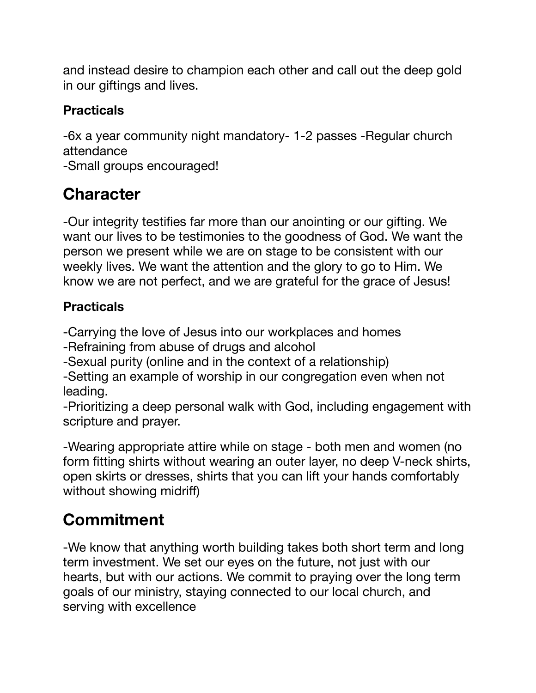and instead desire to champion each other and call out the deep gold in our giftings and lives.

#### **Practicals**

-6x a year community night mandatory- 1-2 passes -Regular church attendance

-Small groups encouraged!

### **Character**

-Our integrity testifies far more than our anointing or our gifting. We want our lives to be testimonies to the goodness of God. We want the person we present while we are on stage to be consistent with our weekly lives. We want the attention and the glory to go to Him. We know we are not perfect, and we are grateful for the grace of Jesus!

#### **Practicals**

-Carrying the love of Jesus into our workplaces and homes

-Refraining from abuse of drugs and alcohol

-Sexual purity (online and in the context of a relationship)

-Setting an example of worship in our congregation even when not leading.

-Prioritizing a deep personal walk with God, including engagement with scripture and prayer.

-Wearing appropriate attire while on stage - both men and women (no form fitting shirts without wearing an outer layer, no deep V-neck shirts, open skirts or dresses, shirts that you can lift your hands comfortably without showing midriff)

## **Commitment**

-We know that anything worth building takes both short term and long term investment. We set our eyes on the future, not just with our hearts, but with our actions. We commit to praying over the long term goals of our ministry, staying connected to our local church, and serving with excellence